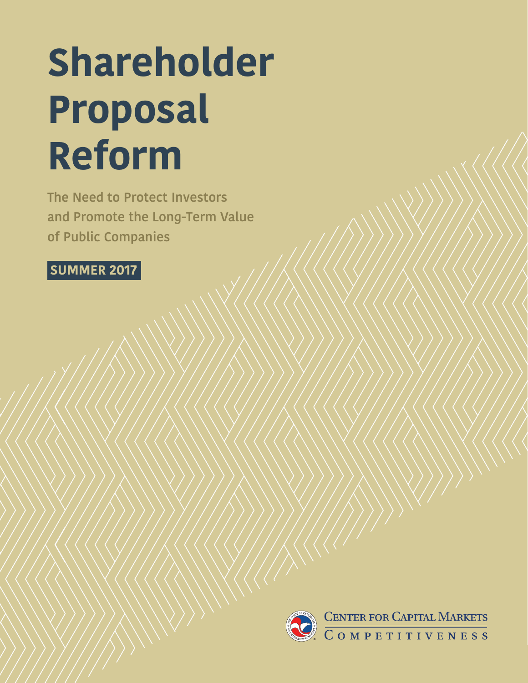# **The New York 2018 Proposal Reform**

**The Need to Protect Investors and Promote the Long-Term Value of Public Companies**

# **SUMMER 2017**

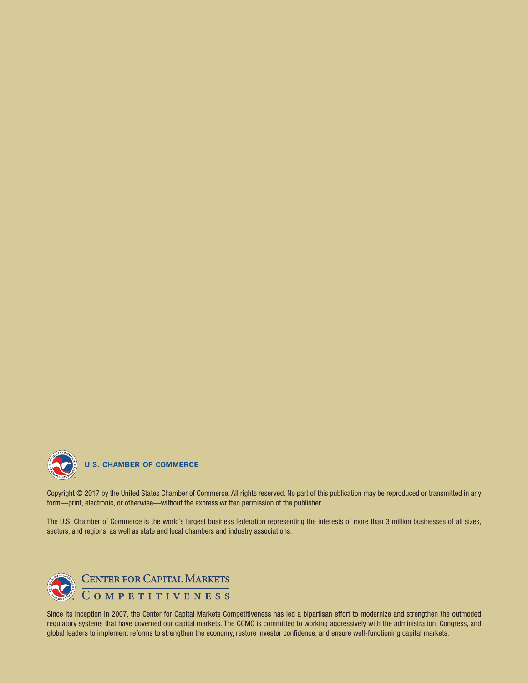

# **U.S. CHAMBER OF COMMERCE**

Copyright © 2017 by the United States Chamber of Commerce. All rights reserved. No part of this publication may be reproduced or transmitted in any form—print, electronic, or otherwise—without the express written permission of the publisher.

The U.S. Chamber of Commerce is the world's largest business federation representing the interests of more than 3 million businesses of all sizes, sectors, and regions, as well as state and local chambers and industry associations.



Since its inception in 2007, the Center for Capital Markets Competitiveness has led a bipartisan effort to modernize and strengthen the outmoded regulatory systems that have governed our capital markets. The CCMC is committed to working aggressively with the administration, Congress, and global leaders to implement reforms to strengthen the economy, restore investor confidence, and ensure well-functioning capital markets.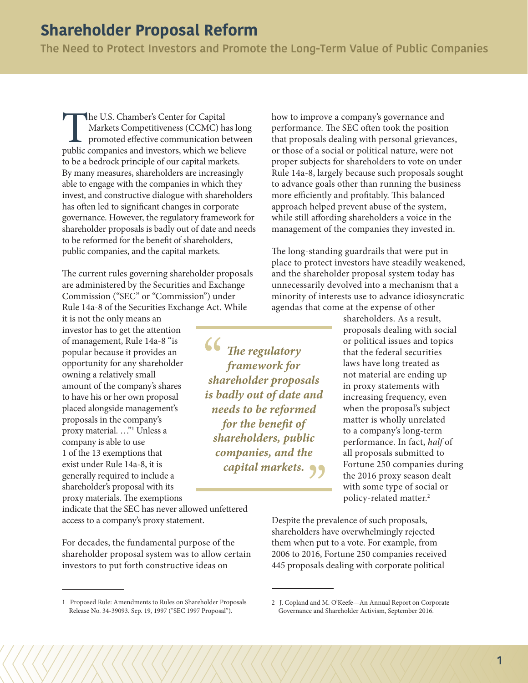**The Need to Protect Investors and Promote the Long-Term Value of Public Companies**

The U.S. Chamber's Center for Capital<br>
Markets Competitiveness (CCMC) has long<br>
promoted effective communication betwee<br>
public companies and investors, which we believe Markets Competitiveness (CCMC) has long promoted effective communication between to be a bedrock principle of our capital markets. By many measures, shareholders are increasingly able to engage with the companies in which they invest, and constructive dialogue with shareholders has often led to significant changes in corporate governance. However, the regulatory framework for shareholder proposals is badly out of date and needs to be reformed for the benefit of shareholders, public companies, and the capital markets.

The current rules governing shareholder proposals are administered by the Securities and Exchange Commission ("SEC" or "Commission") under Rule 14a-8 of the Securities Exchange Act. While

it is not the only means an investor has to get the attention of management, Rule 14a-8 "is popular because it provides an opportunity for any shareholder owning a relatively small amount of the company's shares to have his or her own proposal placed alongside management's proposals in the company's proxy material. …"1 Unless a company is able to use 1 of the 13 exemptions that exist under Rule 14a-8, it is generally required to include a shareholder's proposal with its proxy materials. The exemptions

indicate that the SEC has never allowed unfettered access to a company's proxy statement.

For decades, the fundamental purpose of the shareholder proposal system was to allow certain investors to put forth constructive ideas on

how to improve a company's governance and performance. The SEC often took the position that proposals dealing with personal grievances, or those of a social or political nature, were not proper subjects for shareholders to vote on under Rule 14a-8, largely because such proposals sought to advance goals other than running the business more efficiently and profitably. This balanced approach helped prevent abuse of the system, while still affording shareholders a voice in the management of the companies they invested in.

The long-standing guardrails that were put in place to protect investors have steadily weakened, and the shareholder proposal system today has unnecessarily devolved into a mechanism that a minority of interests use to advance idiosyncratic agendas that come at the expense of other

*The regulatory framework for shareholder proposals is badly out of date and needs to be reformed for the benefit of shareholders, public companies, and the capital markets.* shareholders. As a result, proposals dealing with social or political issues and topics that the federal securities laws have long treated as not material are ending up in proxy statements with increasing frequency, even when the proposal's subject matter is wholly unrelated to a company's long-term performance. In fact, *half* of all proposals submitted to Fortune 250 companies during the 2016 proxy season dealt with some type of social or policy-related matter.2

Despite the prevalence of such proposals, shareholders have overwhelmingly rejected them when put to a vote. For example, from 2006 to 2016, Fortune 250 companies received 445 proposals dealing with corporate political

<sup>1</sup> Proposed Rule: Amendments to Rules on Shareholder Proposals Release No. 34-39093. Sep. 19, 1997 ("SEC 1997 Proposal").

<sup>2</sup> J. Copland and M. O'Keefe—An Annual Report on Corporate Governance and Shareholder Activism, September 2016.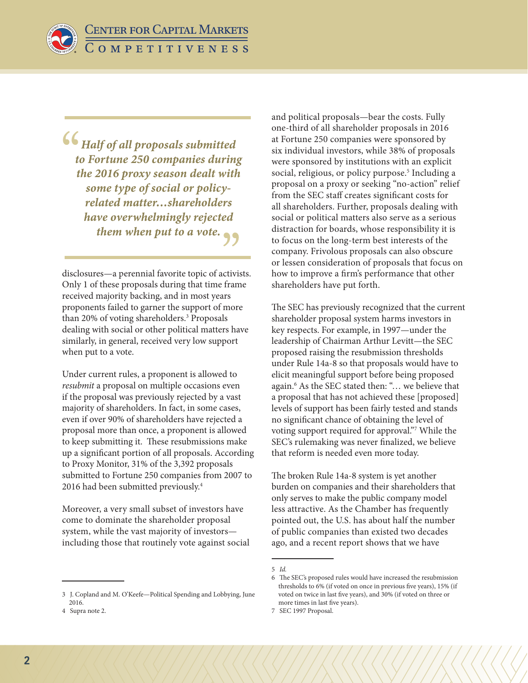**CENTER FOR CAPITAL MARKETS** COMPETITIVENESS

*Half of all proposals submitted to Fortune 250 companies during the 2016 proxy season dealt with some type of social or policyrelated matter…shareholders have overwhelmingly rejected them when put to a vote.*

disclosures—a perennial favorite topic of activists. Only 1 of these proposals during that time frame received majority backing, and in most years proponents failed to garner the support of more than 20% of voting shareholders.<sup>3</sup> Proposals dealing with social or other political matters have similarly, in general, received very low support when put to a vote.

Under current rules, a proponent is allowed to *resubmit* a proposal on multiple occasions even if the proposal was previously rejected by a vast majority of shareholders. In fact, in some cases, even if over 90% of shareholders have rejected a proposal more than once, a proponent is allowed to keep submitting it. These resubmissions make up a significant portion of all proposals. According to Proxy Monitor, 31% of the 3,392 proposals submitted to Fortune 250 companies from 2007 to 2016 had been submitted previously.<sup>4</sup>

Moreover, a very small subset of investors have come to dominate the shareholder proposal system, while the vast majority of investors including those that routinely vote against social

3 J. Copland and M. O'Keefe—Political Spending and Lobbying, June 2016.

and political proposals—bear the costs. Fully one-third of all shareholder proposals in 2016 at Fortune 250 companies were sponsored by six individual investors, while 38% of proposals were sponsored by institutions with an explicit social, religious, or policy purpose.<sup>5</sup> Including a proposal on a proxy or seeking "no-action" relief from the SEC staff creates significant costs for all shareholders. Further, proposals dealing with social or political matters also serve as a serious distraction for boards, whose responsibility it is to focus on the long-term best interests of the company. Frivolous proposals can also obscure or lessen consideration of proposals that focus on how to improve a firm's performance that other shareholders have put forth.

The SEC has previously recognized that the current shareholder proposal system harms investors in key respects. For example, in 1997—under the leadership of Chairman Arthur Levitt—the SEC proposed raising the resubmission thresholds under Rule 14a-8 so that proposals would have to elicit meaningful support before being proposed again.6 As the SEC stated then: "… we believe that a proposal that has not achieved these [proposed] levels of support has been fairly tested and stands no significant chance of obtaining the level of voting support required for approval."7 While the SEC's rulemaking was never finalized, we believe that reform is needed even more today.

The broken Rule 14a-8 system is yet another burden on companies and their shareholders that only serves to make the public company model less attractive. As the Chamber has frequently pointed out, the U.S. has about half the number of public companies than existed two decades ago, and a recent report shows that we have

<sup>4</sup> Supra note 2.

<sup>5</sup> *Id.*

<sup>6</sup> The SEC's proposed rules would have increased the resubmission thresholds to 6% (if voted on once in previous five years), 15% (if voted on twice in last five years), and 30% (if voted on three or more times in last five years).

<sup>7</sup> SEC 1997 Proposal.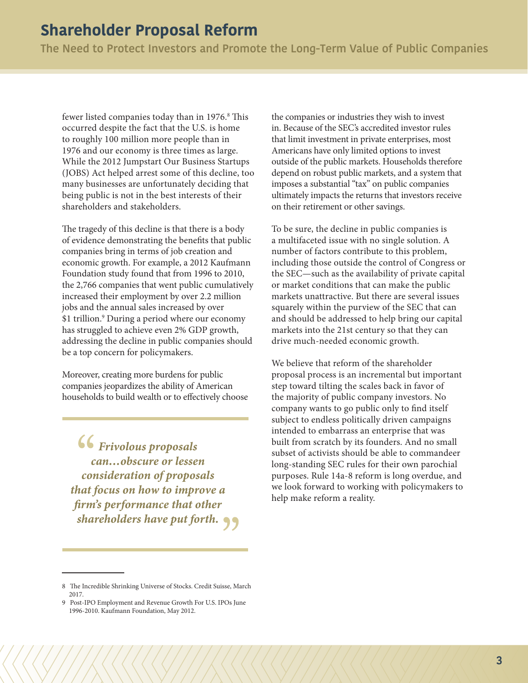**The Need to Protect Investors and Promote the Long-Term Value of Public Companies**

fewer listed companies today than in 1976.<sup>8</sup> This occurred despite the fact that the U.S. is home to roughly 100 million more people than in 1976 and our economy is three times as large. While the 2012 Jumpstart Our Business Startups (JOBS) Act helped arrest some of this decline, too many businesses are unfortunately deciding that being public is not in the best interests of their shareholders and stakeholders.

The tragedy of this decline is that there is a body of evidence demonstrating the benefits that public companies bring in terms of job creation and economic growth. For example, a 2012 Kaufmann Foundation study found that from 1996 to 2010, the 2,766 companies that went public cumulatively increased their employment by over 2.2 million jobs and the annual sales increased by over \$1 trillion.<sup>9</sup> During a period where our economy has struggled to achieve even 2% GDP growth, addressing the decline in public companies should be a top concern for policymakers.

Moreover, creating more burdens for public companies jeopardizes the ability of American households to build wealth or to effectively choose

*Frivolous proposals can…obscure or lessen consideration of proposals that focus on how to improve a firm's performance that other shareholders have put forth.*

the companies or industries they wish to invest in. Because of the SEC's accredited investor rules that limit investment in private enterprises, most Americans have only limited options to invest outside of the public markets. Households therefore depend on robust public markets, and a system that imposes a substantial "tax" on public companies ultimately impacts the returns that investors receive on their retirement or other savings.

To be sure, the decline in public companies is a multifaceted issue with no single solution. A number of factors contribute to this problem, including those outside the control of Congress or the SEC—such as the availability of private capital or market conditions that can make the public markets unattractive. But there are several issues squarely within the purview of the SEC that can and should be addressed to help bring our capital markets into the 21st century so that they can drive much-needed economic growth.

We believe that reform of the shareholder proposal process is an incremental but important step toward tilting the scales back in favor of the majority of public company investors. No company wants to go public only to find itself subject to endless politically driven campaigns intended to embarrass an enterprise that was built from scratch by its founders. And no small subset of activists should be able to commandeer long-standing SEC rules for their own parochial purposes. Rule 14a-8 reform is long overdue, and we look forward to working with policymakers to help make reform a reality.

<sup>8</sup> The Incredible Shrinking Universe of Stocks. Credit Suisse, March 2017.

<sup>9</sup> Post-IPO Employment and Revenue Growth For U.S. IPOs June 1996-2010. Kaufmann Foundation, May 2012.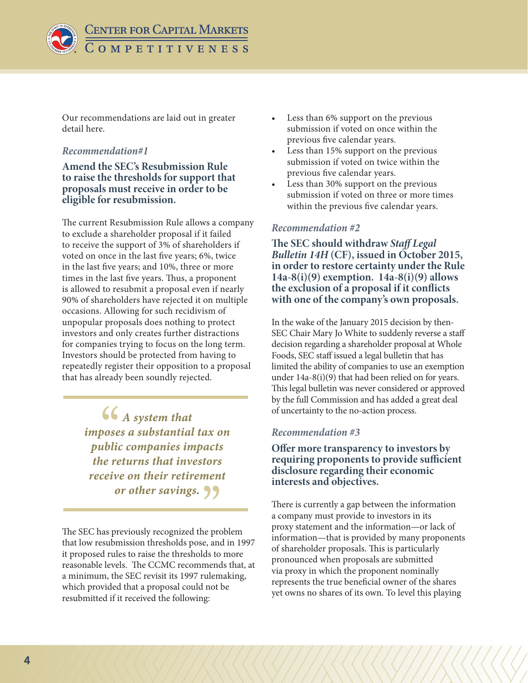

**CENTER FOR CAPITAL MARKETS**  $C$  O M P E T I T I V E N E S S

Our recommendations are laid out in greater detail here.

#### *Recommendation#1*

**Amend the SEC's Resubmission Rule to raise the thresholds for support that proposals must receive in order to be eligible for resubmission.** 

The current Resubmission Rule allows a company to exclude a shareholder proposal if it failed to receive the support of 3% of shareholders if voted on once in the last five years; 6%, twice in the last five years; and 10%, three or more times in the last five years. Thus, a proponent is allowed to resubmit a proposal even if nearly 90% of shareholders have rejected it on multiple occasions. Allowing for such recidivism of unpopular proposals does nothing to protect investors and only creates further distractions for companies trying to focus on the long term. Investors should be protected from having to repeatedly register their opposition to a proposal that has already been soundly rejected.

> *A system that imposes a substantial tax on public companies impacts the returns that investors receive on their retirement or other savings.*

The SEC has previously recognized the problem that low resubmission thresholds pose, and in 1997 it proposed rules to raise the thresholds to more reasonable levels. The CCMC recommends that, at a minimum, the SEC revisit its 1997 rulemaking, which provided that a proposal could not be resubmitted if it received the following:

- Less than 6% support on the previous submission if voted on once within the previous five calendar years.
- Less than 15% support on the previous submission if voted on twice within the previous five calendar years.
- Less than 30% support on the previous submission if voted on three or more times within the previous five calendar years.

#### *Recommendation #2*

**The SEC should withdraw** *Staff Legal Bulletin 14H* **(CF), issued in October 2015, in order to restore certainty under the Rule 14a-8(i)(9) exemption. 14a-8(i)(9) allows the exclusion of a proposal if it conflicts with one of the company's own proposals.** 

In the wake of the January 2015 decision by then-SEC Chair Mary Jo White to suddenly reverse a staff decision regarding a shareholder proposal at Whole Foods, SEC staff issued a legal bulletin that has limited the ability of companies to use an exemption under 14a-8(i)(9) that had been relied on for years. This legal bulletin was never considered or approved by the full Commission and has added a great deal of uncertainty to the no-action process.

#### *Recommendation #3*

**Offer more transparency to investors by requiring proponents to provide sufficient disclosure regarding their economic interests and objectives.**

There is currently a gap between the information a company must provide to investors in its proxy statement and the information—or lack of information—that is provided by many proponents of shareholder proposals. This is particularly pronounced when proposals are submitted via proxy in which the proponent nominally represents the true beneficial owner of the shares yet owns no shares of its own. To level this playing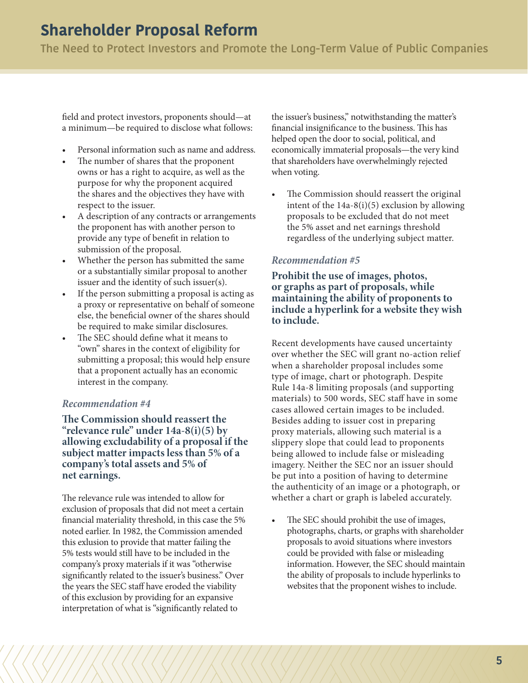**The Need to Protect Investors and Promote the Long-Term Value of Public Companies**

field and protect investors, proponents should—at a minimum—be required to disclose what follows:

- Personal information such as name and address.
- The number of shares that the proponent owns or has a right to acquire, as well as the purpose for why the proponent acquired the shares and the objectives they have with respect to the issuer.
- A description of any contracts or arrangements the proponent has with another person to provide any type of benefit in relation to submission of the proposal.
- Whether the person has submitted the same or a substantially similar proposal to another issuer and the identity of such issuer(s).
- If the person submitting a proposal is acting as a proxy or representative on behalf of someone else, the beneficial owner of the shares should be required to make similar disclosures.
- The SEC should define what it means to "own" shares in the context of eligibility for submitting a proposal; this would help ensure that a proponent actually has an economic interest in the company.

#### *Recommendation #4*

**The Commission should reassert the "relevance rule" under 14a-8(i)(5) by allowing excludability of a proposal if the subject matter impacts less than 5% of a company's total assets and 5% of net earnings.**

The relevance rule was intended to allow for exclusion of proposals that did not meet a certain financial materiality threshold, in this case the 5% noted earlier. In 1982, the Commission amended this exlusion to provide that matter failing the 5% tests would still have to be included in the company's proxy materials if it was "otherwise significantly related to the issuer's business." Over the years the SEC staff have eroded the viability of this exclusion by providing for an expansive interpretation of what is "significantly related to

the issuer's business," notwithstanding the matter's financial insignificance to the business. This has helped open the door to social, political, and economically immaterial proposals—the very kind that shareholders have overwhelmingly rejected when voting.

• The Commission should reassert the original intent of the  $14a-8(i)(5)$  exclusion by allowing proposals to be excluded that do not meet the 5% asset and net earnings threshold regardless of the underlying subject matter.

#### *Recommendation #5*

**Prohibit the use of images, photos, or graphs as part of proposals, while maintaining the ability of proponents to include a hyperlink for a website they wish to include.**

Recent developments have caused uncertainty over whether the SEC will grant no-action relief when a shareholder proposal includes some type of image, chart or photograph. Despite Rule 14a-8 limiting proposals (and supporting materials) to 500 words, SEC staff have in some cases allowed certain images to be included. Besides adding to issuer cost in preparing proxy materials, allowing such material is a slippery slope that could lead to proponents being allowed to include false or misleading imagery. Neither the SEC nor an issuer should be put into a position of having to determine the authenticity of an image or a photograph, or whether a chart or graph is labeled accurately.

The SEC should prohibit the use of images, photographs, charts, or graphs with shareholder proposals to avoid situations where investors could be provided with false or misleading information. However, the SEC should maintain the ability of proposals to include hyperlinks to websites that the proponent wishes to include.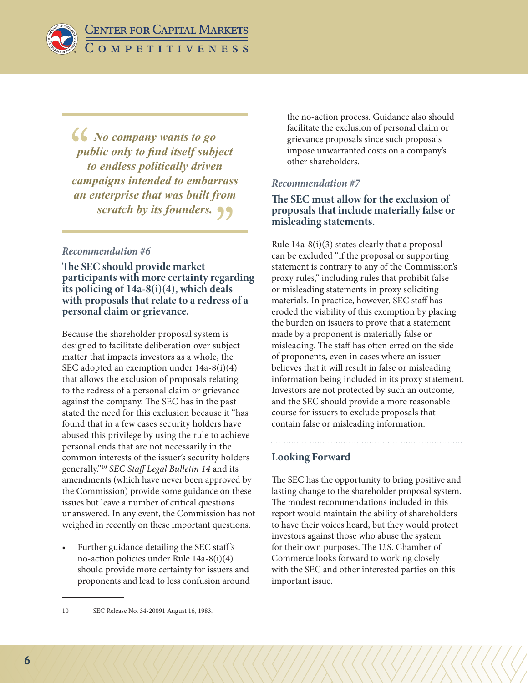*No company wants to go public only to find itself subject to endless politically driven campaigns intended to embarrass an enterprise that was built from scratch by its founders.*

# *Recommendation #6*

**The SEC should provide market participants with more certainty regarding its policing of 14a-8(i)(4), which deals with proposals that relate to a redress of a personal claim or grievance.**

Because the shareholder proposal system is designed to facilitate deliberation over subject matter that impacts investors as a whole, the SEC adopted an exemption under 14a-8(i)(4) that allows the exclusion of proposals relating to the redress of a personal claim or grievance against the company. The SEC has in the past stated the need for this exclusion because it "has found that in a few cases security holders have abused this privilege by using the rule to achieve personal ends that are not necessarily in the common interests of the issuer's security holders generally."10 *SEC Staff Legal Bulletin 14* and its amendments (which have never been approved by the Commission) provide some guidance on these issues but leave a number of critical questions unanswered. In any event, the Commission has not weighed in recently on these important questions.

• Further guidance detailing the SEC staff 's no-action policies under Rule 14a-8(i)(4) should provide more certainty for issuers and proponents and lead to less confusion around

the no-action process. Guidance also should facilitate the exclusion of personal claim or grievance proposals since such proposals impose unwarranted costs on a company's other shareholders.

## *Recommendation #7*

## **The SEC must allow for the exclusion of proposals that include materially false or misleading statements.**

Rule 14a-8(i)(3) states clearly that a proposal can be excluded "if the proposal or supporting statement is contrary to any of the Commission's proxy rules," including rules that prohibit false or misleading statements in proxy soliciting materials. In practice, however, SEC staff has eroded the viability of this exemption by placing the burden on issuers to prove that a statement made by a proponent is materially false or misleading. The staff has often erred on the side of proponents, even in cases where an issuer believes that it will result in false or misleading information being included in its proxy statement. Investors are not protected by such an outcome, and the SEC should provide a more reasonable course for issuers to exclude proposals that contain false or misleading information.

# **Looking Forward**

The SEC has the opportunity to bring positive and lasting change to the shareholder proposal system. The modest recommendations included in this report would maintain the ability of shareholders to have their voices heard, but they would protect investors against those who abuse the system for their own purposes. The U.S. Chamber of Commerce looks forward to working closely with the SEC and other interested parties on this important issue.